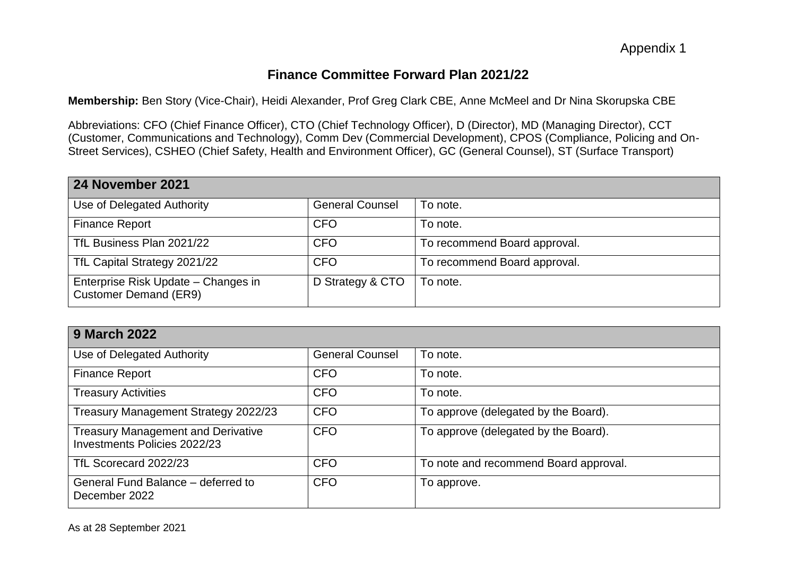# **Finance Committee Forward Plan 2021/22**

**Membership:** Ben Story (Vice-Chair), Heidi Alexander, Prof Greg Clark CBE, Anne McMeel and Dr Nina Skorupska CBE

Abbreviations: CFO (Chief Finance Officer), CTO (Chief Technology Officer), D (Director), MD (Managing Director), CCT (Customer, Communications and Technology), Comm Dev (Commercial Development), CPOS (Compliance, Policing and On-Street Services), CSHEO (Chief Safety, Health and Environment Officer), GC (General Counsel), ST (Surface Transport)

| 24 November 2021                                                    |                        |                              |  |  |
|---------------------------------------------------------------------|------------------------|------------------------------|--|--|
| Use of Delegated Authority                                          | <b>General Counsel</b> | To note.                     |  |  |
| <b>Finance Report</b>                                               | <b>CFO</b>             | To note.                     |  |  |
| TfL Business Plan 2021/22                                           | <b>CFO</b>             | To recommend Board approval. |  |  |
| TfL Capital Strategy 2021/22                                        | <b>CFO</b>             | To recommend Board approval. |  |  |
| Enterprise Risk Update - Changes in<br><b>Customer Demand (ER9)</b> | D Strategy & CTO       | To note.                     |  |  |

| <b>9 March 2022</b>                                                       |                        |                                       |  |  |
|---------------------------------------------------------------------------|------------------------|---------------------------------------|--|--|
| Use of Delegated Authority                                                | <b>General Counsel</b> | To note.                              |  |  |
| <b>Finance Report</b>                                                     | <b>CFO</b>             | To note.                              |  |  |
| <b>Treasury Activities</b>                                                | <b>CFO</b>             | To note.                              |  |  |
| Treasury Management Strategy 2022/23                                      | <b>CFO</b>             | To approve (delegated by the Board).  |  |  |
| <b>Treasury Management and Derivative</b><br>Investments Policies 2022/23 | <b>CFO</b>             | To approve (delegated by the Board).  |  |  |
| TfL Scorecard 2022/23                                                     | <b>CFO</b>             | To note and recommend Board approval. |  |  |
| General Fund Balance – deferred to<br>December 2022                       | <b>CFO</b>             | To approve.                           |  |  |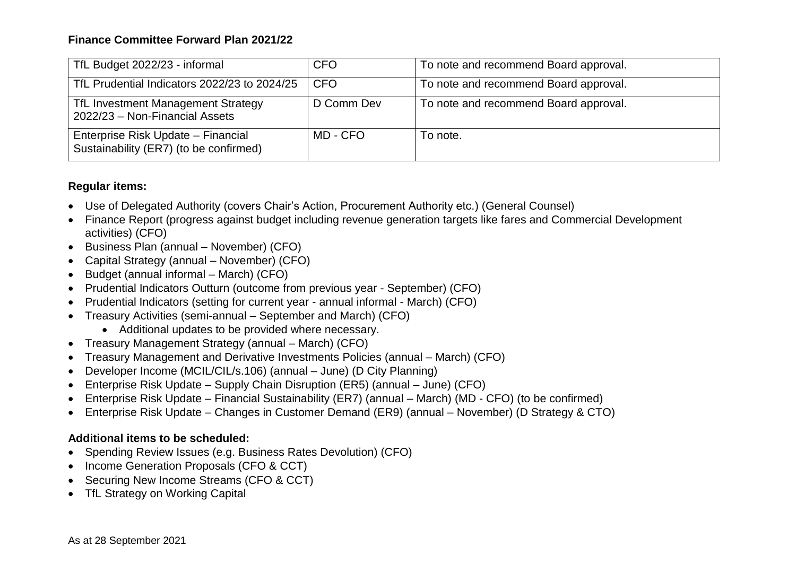## **Finance Committee Forward Plan 2021/22**

| TfL Budget 2022/23 - informal                                                | <b>CFO</b> | To note and recommend Board approval. |
|------------------------------------------------------------------------------|------------|---------------------------------------|
| TfL Prudential Indicators 2022/23 to 2024/25                                 | <b>CFO</b> | To note and recommend Board approval. |
| TfL Investment Management Strategy<br>2022/23 - Non-Financial Assets         | D Comm Dev | To note and recommend Board approval. |
| Enterprise Risk Update – Financial<br>Sustainability (ER7) (to be confirmed) | MD - CFO   | To note.                              |

### **Regular items:**

- Use of Delegated Authority (covers Chair's Action, Procurement Authority etc.) (General Counsel)
- Finance Report (progress against budget including revenue generation targets like fares and Commercial Development activities) (CFO)
- Business Plan (annual November) (CFO)
- Capital Strategy (annual November) (CFO)
- Budget (annual informal March) (CFO)
- Prudential Indicators Outturn (outcome from previous year September) (CFO)
- Prudential Indicators (setting for current year annual informal March) (CFO)
- Treasury Activities (semi-annual September and March) (CFO)
	- Additional updates to be provided where necessary.
- Treasury Management Strategy (annual March) (CFO)
- Treasury Management and Derivative Investments Policies (annual March) (CFO)
- Developer Income (MCIL/CIL/s.106) (annual June) (D City Planning)
- Enterprise Risk Update Supply Chain Disruption (ER5) (annual June) (CFO)
- Enterprise Risk Update Financial Sustainability (ER7) (annual March) (MD CFO) (to be confirmed)
- Enterprise Risk Update Changes in Customer Demand (ER9) (annual November) (D Strategy & CTO)

#### **Additional items to be scheduled:**

- Spending Review Issues (e.g. Business Rates Devolution) (CFO)
- Income Generation Proposals (CFO & CCT)
- Securing New Income Streams (CFO & CCT)
- TfL Strategy on Working Capital